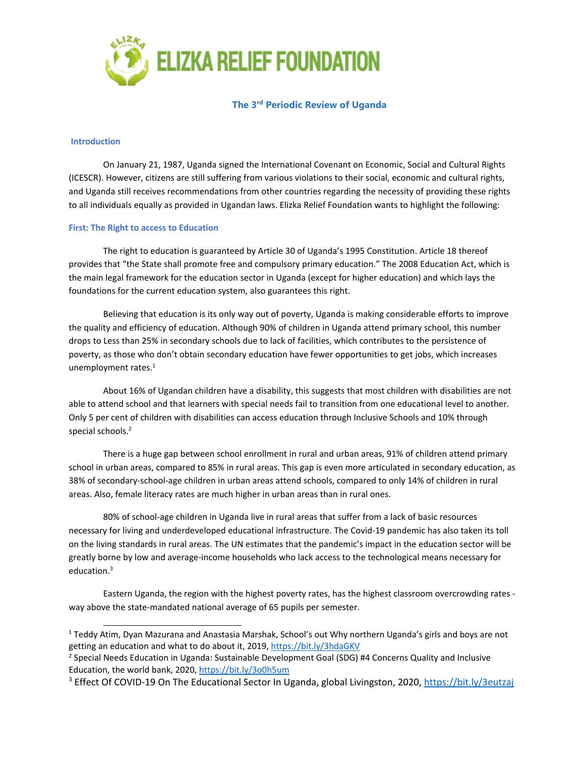

**The 3rd Periodic Review of Uganda**

### **Introduction**

On January 21, 1987, Uganda signed the International Covenant on Economic, Social and Cultural Rights (ICESCR). However, citizens are still suffering from various violations to their social, economic and cultural rights, and Uganda still receives recommendations from other countries regarding the necessity of providing these rights to all individuals equally as provided in Ugandan laws. Elizka Relief Foundation wants to highlight the following:

## **First: The Right to access to Education**

The right to education is guaranteed by Article 30 of Uganda'<sup>s</sup> 1995 Constitution. Article 18 thereof provides that "the State shall promote free and compulsory primary education." The 2008 Education Act, which is the main legal framework for the education sector in Uganda (except for higher education) and which lays the foundations for the current education system, also guarantees this right.

Believing that education is its only way out of poverty, Uganda is making considerable efforts to improve the quality and efficiency of education. Although 90% of children in Uganda attend primary school, this number drops to Less than 25% in secondary schools due to lack of facilities, which contributes to the persistence of poverty, as those who don'<sup>t</sup> obtain secondary education have fewer opportunities to get jobs, which increases unemployment rates. 1

About 16% of Ugandan children have <sup>a</sup> disability, this suggests that most children with disabilities are not able to attend school and that learners with special needs fail to transition from one educational level to another. Only 5 per cent of children with disabilities can access education through Inclusive Schools and 10% through special schools. 2

There is <sup>a</sup> huge gap between school enrollment in rural and urban areas, 91% of children attend primary school in urban areas, compared to 85% in rural areas. This gap is even more articulated in secondary education, as 38% of secondary-school-age children in urban areas attend schools, compared to only 14% of children in rural areas. Also, female literacy rates are much higher in urban areas than in rural ones.

80% of school-age children in Uganda live in rural areas that suffer from <sup>a</sup> lack of basic resources necessary for living and underdeveloped educational infrastructure. The Covid-19 pandemic has also taken its toll on the living standards in rural areas. The UN estimates that the pandemic'<sup>s</sup> impact in the education sector will be greatly borne by low and average-income households who lack access to the technological means necessary for education.<sup>3</sup>

Eastern Uganda, the region with the highest poverty rates, has the highest classroom overcrowding rates way above the state-mandated national average of 65 pupils per semester.

<sup>1</sup> Teddy Atim, Dyan Mazurana and Anastasia Marshak, School'<sup>s</sup> out Why northern Uganda'<sup>s</sup> girls and boys are not getting an education and what to do about it, 2019, <https://bit.ly/3hdaGKV>

<sup>&</sup>lt;sup>2</sup> Special Needs Education in Uganda: Sustainable Development Goal (SDG) #4 Concerns Quality and Inclusive Education, the world bank, 2020, <https://bit.ly/3o0h5um>

<sup>&</sup>lt;sup>3</sup> Effect Of COVID-19 On The Educational Sector In Uganda, global Livingston, 2020, <https://bit.ly/3eutzaj>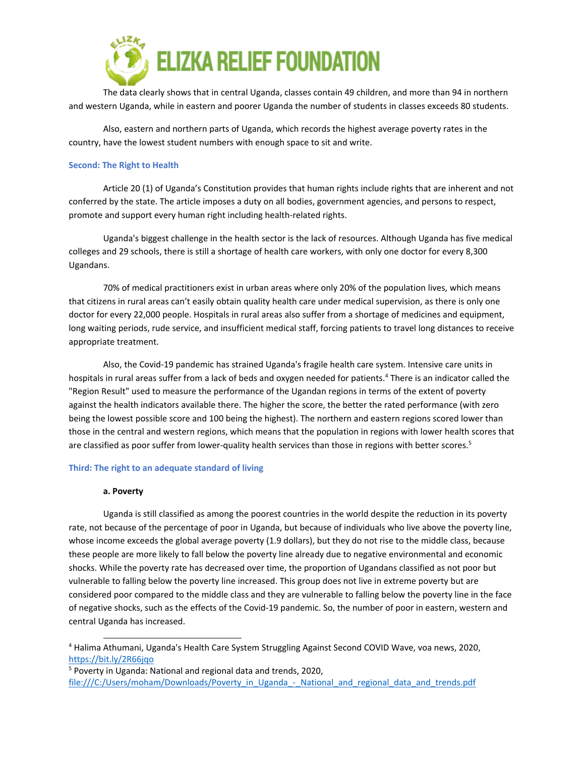

The data clearly shows that in central Uganda, classes contain 49 children, and more than 94 in northern and western Uganda, while in eastern and poorer Uganda the number of students in classes exceeds 80 students.

Also, eastern and northern parts of Uganda, which records the highest average poverty rates in the country, have the lowest student numbers with enough space to sit and write.

### **Second: The Right to Health**

Article 20 (1) of Uganda'<sup>s</sup> Constitution provides that human rights include rights that are inherent and not conferred by the state. The article imposes <sup>a</sup> duty on all bodies, government agencies, and persons to respect, promote and support every human right including health-related rights.

Uganda's biggest challenge in the health sector is the lack of resources. Although Uganda has five medical colleges and 29 schools, there is still <sup>a</sup> shortage of health care workers, with only one doctor for every 8,300 Ugandans.

70% of medical practitioners exist in urban areas where only 20% of the population lives, which means that citizens in rural areas can'<sup>t</sup> easily obtain quality health care under medical supervision, as there is only one doctor for every 22,000 people. Hospitals in rural areas also suffer from <sup>a</sup> shortage of medicines and equipment, long waiting periods, rude service, and insufficient medical staff, forcing patients to travel long distances to receive appropriate treatment.

Also, the Covid-19 pandemic has strained Uganda's fragile health care system. Intensive care units in hospitals in rural areas suffer from <sup>a</sup> lack of beds and oxygen needed for patients. 4 There is an indicator called the "Region Result" used to measure the performance of the Ugandan regions in terms of the extent of poverty against the health indicators available there. The higher the score, the better the rated performance (with zero being the lowest possible score and 100 being the highest). The northern and eastern regions scored lower than those in the central and western regions, which means that the population in regions with lower health scores that are classified as poor suffer from lower-quality health services than those in regions with better scores.<sup>5</sup>

#### **Third: The right to an adequate standard of living**

#### **a. Poverty**

Uganda is still classified as among the poorest countries in the world despite the reduction in its poverty rate, not because of the percentage of poor in Uganda, but because of individuals who live above the poverty line, whose income exceeds the global average poverty (1.9 dollars), but they do not rise to the middle class, because these people are more likely to fall below the poverty line already due to negative environmental and economic shocks. While the poverty rate has decreased over time, the proportion of Ugandans classified as not poor but vulnerable to falling below the poverty line increased. This group does not live in extreme poverty but are considered poor compared to the middle class and they are vulnerable to falling below the poverty line in the face of negative shocks, such as the effects of the Covid-19 pandemic. So, the number of poor in eastern, western and central Uganda has increased.

5 Poverty in Uganda: National and regional data and trends, 2020, file:///C:/Users/moham/Downloads/Poverty\_in\_Uganda\_-\_National\_and\_regional\_data\_and\_trends.pdf

<sup>4</sup> Halima Athumani, Uganda's Health Care System Struggling Against Second COVID Wave, voa news, 2020, <https://bit.ly/2R66jqo>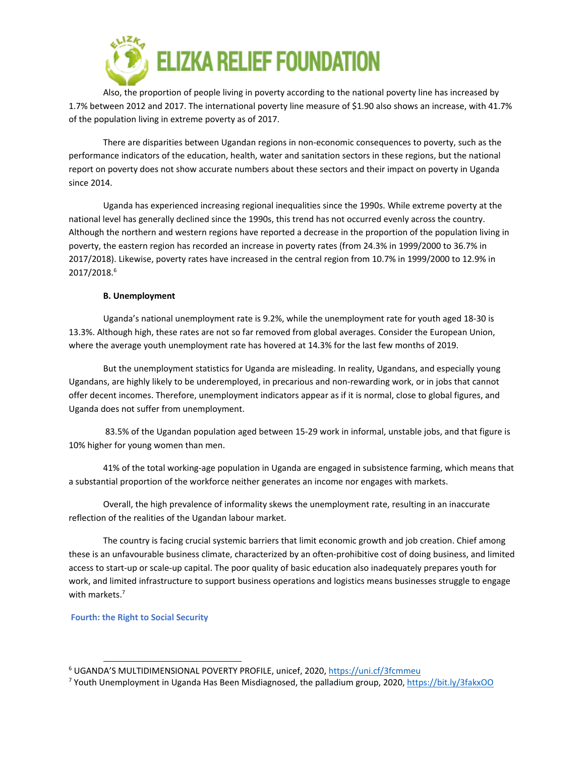

Also, the proportion of people living in poverty according to the national poverty line has increased by 1.7% between 2012 and 2017. The international poverty line measure of \$1.90 also shows an increase, with 41.7% of the population living in extreme poverty as of 2017.

There are disparities between Ugandan regions in non-economic consequences to poverty, such as the performance indicators of the education, health, water and sanitation sectors in these regions, but the national report on poverty does not show accurate numbers about these sectors and their impact on poverty in Uganda since 2014.

Uganda has experienced increasing regional inequalities since the 1990s. While extreme poverty at the national level has generally declined since the 1990s, this trend has not occurred evenly across the country. Although the northern and western regions have reported <sup>a</sup> decrease in the proportion of the population living in poverty, the eastern region has recorded an increase in poverty rates (from 24.3% in 1999/2000 to 36.7% in 2017/2018). Likewise, poverty rates have increased in the central region from 10.7% in 1999/2000 to 12.9% in 2017/2018. 6

# **B. Unemployment**

Uganda'<sup>s</sup> national unemployment rate is 9.2%, while the unemployment rate for youth aged 18-30 is 13.3%. Although high, these rates are not so far removed from global averages. Consider the European Union, where the average youth unemployment rate has hovered at 14.3% for the last few months of 2019.

But the unemployment statistics for Uganda are misleading. In reality, Ugandans, and especially young Ugandans, are highly likely to be underemployed, in precarious and non-rewarding work, or in jobs that cannot offer decent incomes. Therefore, unemployment indicators appear as if it is normal, close to global figures, and Uganda does not suffer from unemployment.

83.5% of the Ugandan population aged between 15-29 work in informal, unstable jobs, and that figure is 10% higher for young women than men.

41% of the total working-age population in Uganda are engaged in subsistence farming, which means that <sup>a</sup> substantial proportion of the workforce neither generates an income nor engages with markets.

Overall, the high prevalence of informality skews the unemployment rate, resulting in an inaccurate reflection of the realities of the Ugandan labour market.

The country is facing crucial systemic barriers that limit economic growth and job creation. Chief among these is an unfavourable business climate, characterized by an often-prohibitive cost of doing business, and limited access to start-up or scale-up capital. The poor quality of basic education also inadequately prepares youth for work, and limited infrastructure to support business operations and logistics means businesses struggle to engage with markets. 7

# **Fourth: the Right to Social Security**

<sup>&</sup>lt;sup>6</sup> UGANDA'S MULTIDIMENSIONAL POVERTY PROFILE, unicef, 2020, <https://uni.cf/3fcmmeu>

<sup>7</sup> Youth Unemployment in Uganda Has Been Misdiagnosed, the palladium group, 2020, <https://bit.ly/3fakxOO>